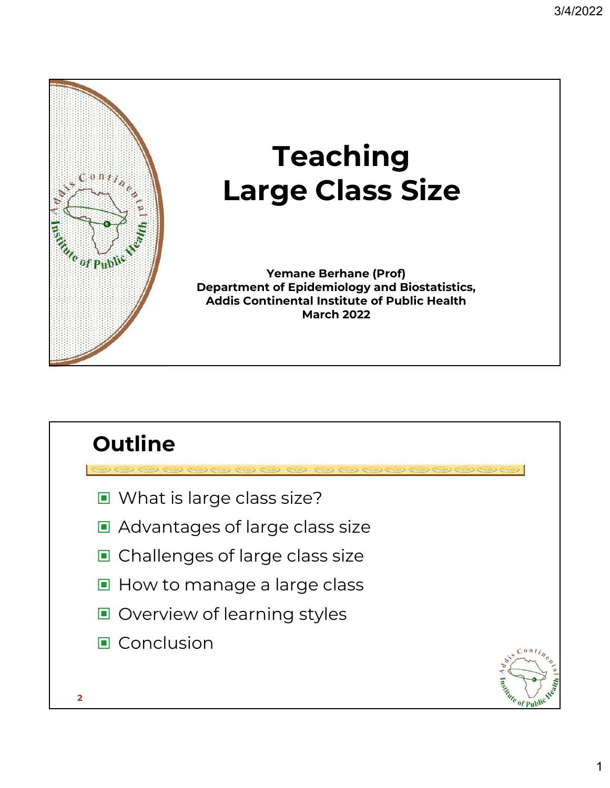

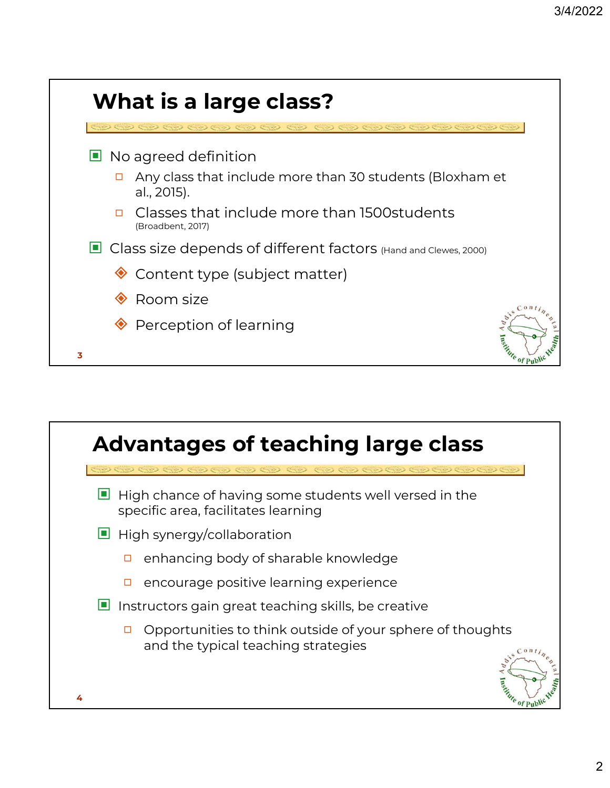

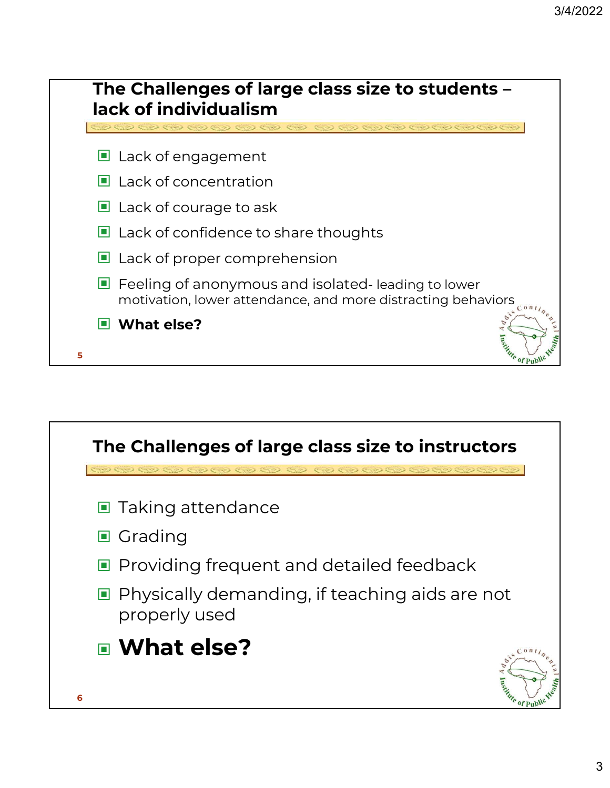

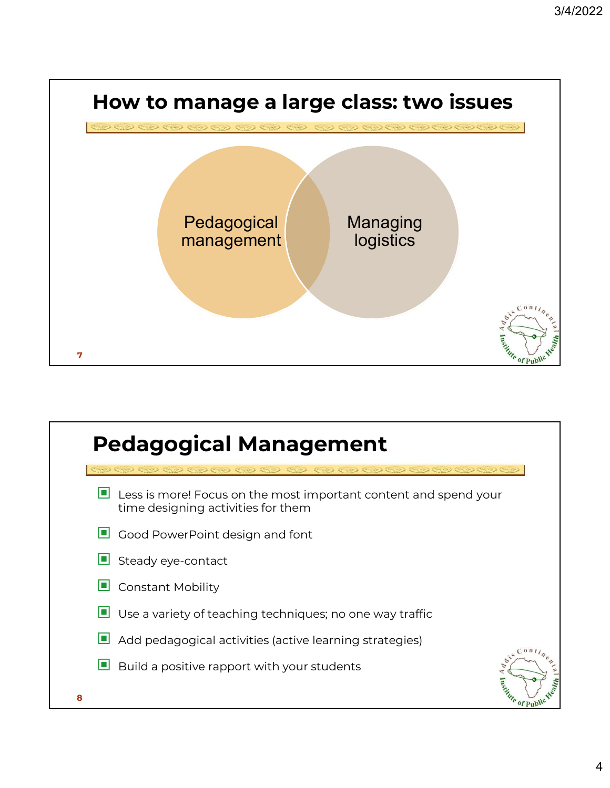

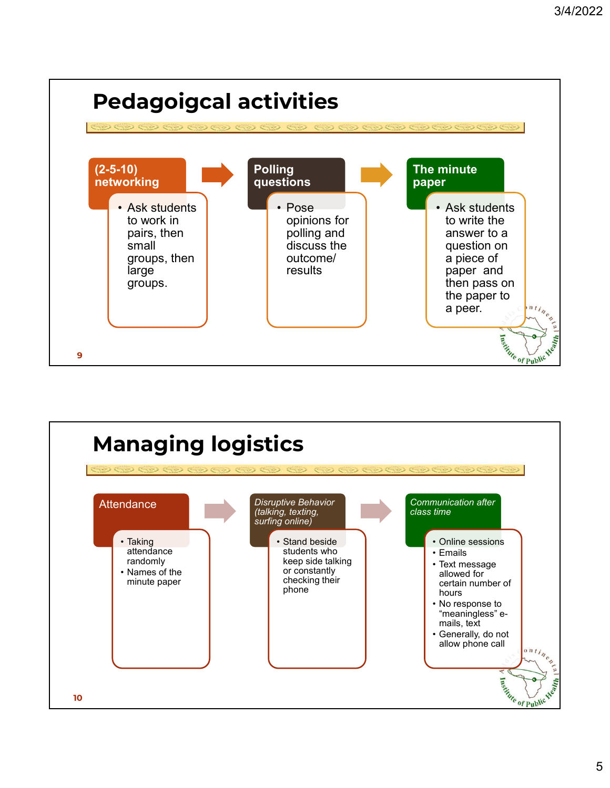

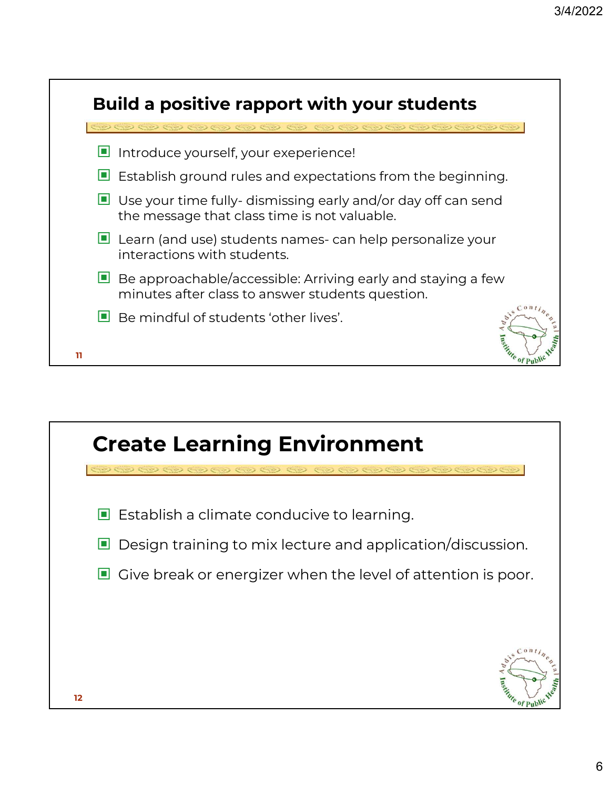|    | <b>Build a positive rapport with your students</b><br>$\mathcal{D}$ ( $\mathcal{D}$ ) (                                     |
|----|-----------------------------------------------------------------------------------------------------------------------------|
| ш  | Introduce yourself, your exeperience!                                                                                       |
|    | $\blacksquare$ Establish ground rules and expectations from the beginning.                                                  |
|    | $\blacksquare$ Use your time fully-dismissing early and/or day off can send<br>the message that class time is not valuable. |
|    | $\Box$ Learn (and use) students names-can help personalize your<br>interactions with students.                              |
| ▁  | Be approachable/accessible: Arriving early and staying a few<br>minutes after class to answer students question.            |
|    | $0 \pi t$<br>$\Box$ Be mindful of students 'other lives'.                                                                   |
| 11 |                                                                                                                             |